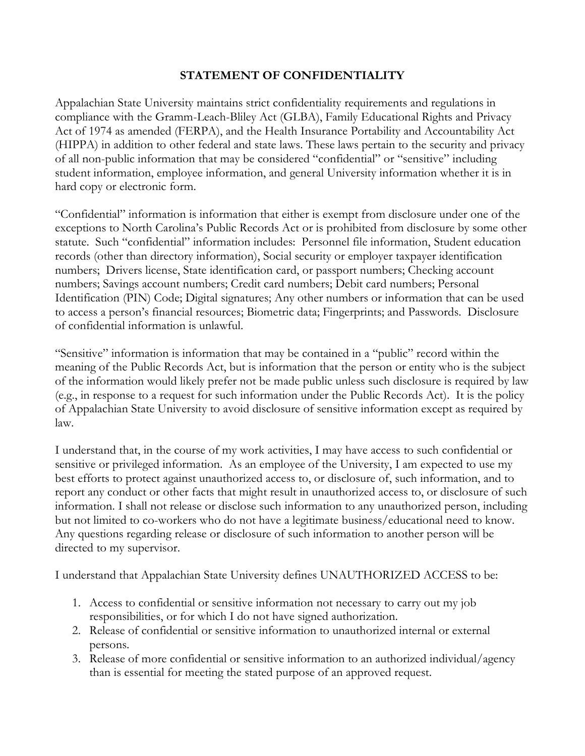## **STATEMENT OF CONFIDENTIALITY**

Appalachian State University maintains strict confidentiality requirements and regulations in compliance with the Gramm-Leach-Bliley Act (GLBA), Family Educational Rights and Privacy Act of 1974 as amended (FERPA), and the Health Insurance Portability and Accountability Act (HIPPA) in addition to other federal and state laws. These laws pertain to the security and privacy of all non-public information that may be considered "confidential" or "sensitive" including student information, employee information, and general University information whether it is in hard copy or electronic form.

"Confidential" information is information that either is exempt from disclosure under one of the exceptions to North Carolina's Public Records Act or is prohibited from disclosure by some other statute. Such "confidential" information includes: Personnel file information, Student education records (other than directory information), Social security or employer taxpayer identification numbers; Drivers license, State identification card, or passport numbers; Checking account numbers; Savings account numbers; Credit card numbers; Debit card numbers; Personal Identification (PIN) Code; Digital signatures; Any other numbers or information that can be used to access a person's financial resources; Biometric data; Fingerprints; and Passwords. Disclosure of confidential information is unlawful.

"Sensitive" information is information that may be contained in a "public" record within the meaning of the Public Records Act, but is information that the person or entity who is the subject of the information would likely prefer not be made public unless such disclosure is required by law (e.g., in response to a request for such information under the Public Records Act). It is the policy of Appalachian State University to avoid disclosure of sensitive information except as required by law.

I understand that, in the course of my work activities, I may have access to such confidential or sensitive or privileged information. As an employee of the University, I am expected to use my best efforts to protect against unauthorized access to, or disclosure of, such information, and to report any conduct or other facts that might result in unauthorized access to, or disclosure of such information. I shall not release or disclose such information to any unauthorized person, including but not limited to co-workers who do not have a legitimate business/educational need to know. Any questions regarding release or disclosure of such information to another person will be directed to my supervisor.

I understand that Appalachian State University defines UNAUTHORIZED ACCESS to be:

- 1. Access to confidential or sensitive information not necessary to carry out my job responsibilities, or for which I do not have signed authorization.
- 2. Release of confidential or sensitive information to unauthorized internal or external persons.
- 3. Release of more confidential or sensitive information to an authorized individual/agency than is essential for meeting the stated purpose of an approved request.